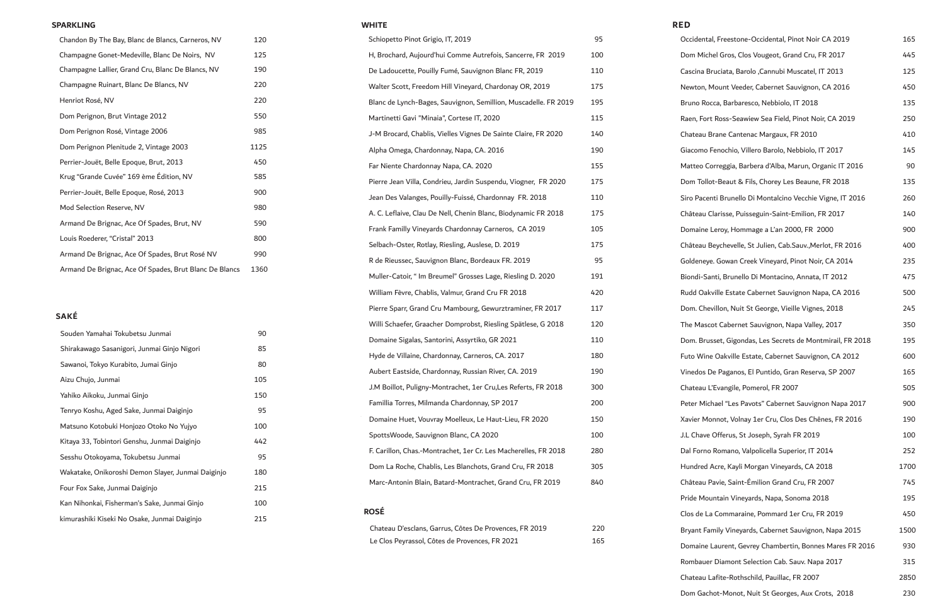| Occidental, Freestone-Occidental, Pinot Noir CA 2019       | 165  |
|------------------------------------------------------------|------|
| Dom Michel Gros, Clos Vougeot, Grand Cru, FR 2017          | 445  |
| Cascina Bruciata, Barolo , Cannubi Muscatel, IT 2013       | 125  |
| Newton, Mount Veeder, Cabernet Sauvignon, CA 2016          | 450  |
| Bruno Rocca, Barbaresco, Nebbiolo, IT 2018                 | 135  |
| Raen, Fort Ross-Seawiew Sea Field, Pinot Noir, CA 2019     | 250  |
| Chateau Brane Cantenac Margaux, FR 2010                    | 410  |
| Giacomo Fenochio, Villero Barolo, Nebbiolo, IT 2017        | 145  |
| Matteo Correggia, Barbera d'Alba, Marun, Organic IT 2016   | 90   |
| Dom Tollot-Beaut & Fils, Chorey Les Beaune, FR 2018        | 135  |
| Siro Pacenti Brunello Di Montalcino Vecchie Vigne, IT 2016 | 260  |
| Château Clarisse, Puisseguin-Saint-Emilion, FR 2017        | 140  |
| Domaine Leroy, Hommage a L'an 2000, FR 2000                | 900  |
| Château Beychevelle, St Julien, Cab.Sauv., Merlot, FR 2016 | 400  |
| Goldeneye. Gowan Creek Vineyard, Pinot Noir, CA 2014       | 235  |
| Biondi-Santi, Brunello Di Montacino, Annata, IT 2012       | 475  |
| Rudd Oakville Estate Cabernet Sauvignon Napa, CA 2016      | 500  |
| Dom. Chevillon, Nuit St George, Vieille Vignes, 2018       | 245  |
| The Mascot Cabernet Sauvignon, Napa Valley, 2017           | 350  |
| Dom. Brusset, Gigondas, Les Secrets de Montmirail, FR 2018 | 195  |
| Futo Wine Oakville Estate, Cabernet Sauvignon, CA 2012     | 600  |
| Vinedos De Paganos, El Puntido, Gran Reserva, SP 2007      | 165  |
| Chateau L'Evangile, Pomerol, FR 2007                       | 505  |
| Peter Michael "Les Pavots" Cabernet Sauvignon Napa 2017    | 900  |
| Xavier Monnot, Volnay 1er Cru, Clos Des Chênes, FR 2016    | 190  |
| J.L Chave Offerus, St Joseph, Syrah FR 2019                | 100  |
| Dal Forno Romano, Valpolicella Superior, IT 2014           | 252  |
| Hundred Acre, Kayli Morgan Vineyards, CA 2018              | 1700 |
| Château Pavie, Saint-Émilion Grand Cru, FR 2007            | 745  |
| Pride Mountain Vineyards, Napa, Sonoma 2018                | 195  |
| Clos de La Commaraine, Pommard 1er Cru, FR 2019            | 450  |
| Bryant Family Vineyards, Cabernet Sauvignon, Napa 2015     | 1500 |
| Domaine Laurent, Gevrey Chambertin, Bonnes Mares FR 2016   | 930  |
| Rombauer Diamont Selection Cab. Sauv. Napa 2017            | 315  |
| Chateau Lafite-Rothschild, Pauillac, FR 2007               | 2850 |
| Dom Gachot-Monot, Nuit St Georges, Aux Crots, 2018         | 230  |

| <b>WHITE</b>                                                    |     | <b>RED</b> |
|-----------------------------------------------------------------|-----|------------|
| Schiopetto Pinot Grigio, IT, 2019                               | 95  | Occ        |
| H, Brochard, Aujourd'hui Comme Autrefois, Sancerre, FR 2019     | 100 | Dor        |
| De Ladoucette, Pouilly Fumé, Sauvignon Blanc FR, 2019           | 110 | Cas        |
| Walter Scott, Freedom Hill Vineyard, Chardonay OR, 2019         | 175 | Nev        |
| Blanc de Lynch-Bages, Sauvignon, Semillion, Muscadelle. FR 2019 | 195 | <b>Bru</b> |
| Martinetti Gavi "Minaia", Cortese IT, 2020                      | 115 | Rae        |
| J-M Brocard, Chablis, Vielles Vignes De Sainte Claire, FR 2020  | 140 | Cha        |
| Alpha Omega, Chardonnay, Napa, CA. 2016                         | 190 | Gia        |
| Far Niente Chardonnay Napa, CA. 2020                            | 155 | Mat        |
| Pierre Jean Villa, Condrieu, Jardin Suspendu, Viogner, FR 2020  | 175 | Dor        |
| Jean Des Valanges, Pouilly-Fuissé, Chardonnay FR. 2018          | 110 | Sirc       |
| A. C. Leflaive, Clau De Nell, Chenin Blanc, Biodynamic FR 2018  | 175 | Châ        |
| Frank Familly Vineyards Chardonnay Carneros, CA 2019            | 105 | Dor        |
| Selbach-Oster, Rotlay, Riesling, Auslese, D. 2019               | 175 | Châ        |
| R de Rieussec, Sauvignon Blanc, Bordeaux FR. 2019               | 95  | Gol        |
| Muller-Catoir, " Im Breumel" Grosses Lage, Riesling D. 2020     | 191 | Bio        |
| William Fèvre, Chablis, Valmur, Grand Cru FR 2018               | 420 | Ruc        |
| Pierre Sparr, Grand Cru Mambourg, Gewurztraminer, FR 2017       | 117 | Dor        |
| Willi Schaefer, Graacher Domprobst, Riesling Spätlese, G 2018   | 120 | The        |
| Domaine Sigalas, Santorini, Assyrtiko, GR 2021                  | 110 | Dor        |
| Hyde de Villaine, Chardonnay, Carneros, CA. 2017                | 180 | Fut        |
| Aubert Eastside, Chardonnay, Russian River, CA. 2019            | 190 | Vin        |
| J.M Boillot, Puligny-Montrachet, 1er Cru,Les Referts, FR 2018   | 300 | Cha        |
| Famillia Torres, Milmanda Chardonnay, SP 2017                   | 200 | Pet        |
| Domaine Huet, Vouvray Moelleux, Le Haut-Lieu, FR 2020           | 150 | Xav        |
| SpottsWoode, Sauvignon Blanc, CA 2020                           | 100 | J.L        |
| F. Carillon, Chas.-Montrachet, 1er Cr. Les Macherelles, FR 2018 | 280 | Dal        |
| Dom La Roche, Chablis, Les Blanchots, Grand Cru, FR 2018        | 305 | Hur        |
| Marc-Antonin Blain, Batard-Montrachet, Grand Cru, FR 2019       | 840 | Châ        |
|                                                                 |     | Pric       |
| <b>ROSÉ</b>                                                     |     | Clo:       |
| Chateau D'esclans, Garrus, Côtes De Provences, FR 2019          | 220 | <b>Bry</b> |
| Le Clos Peyrassol, Côtes de Provences, FR 2021                  | 165 | $\Gamma$   |

| Souden Yamahai Tokubetsu Junmai                    | 90  |
|----------------------------------------------------|-----|
| Shirakawago Sasanigori, Junmai Ginjo Nigori        | 85  |
| Sawanoi, Tokyo Kurabito, Jumai Ginjo               | 80  |
| Aizu Chujo, Junmai                                 | 105 |
| Yahiko Aikoku, Junmai Ginjo                        | 150 |
| Tenryo Koshu, Aged Sake, Junmai Daiginjo           | 95  |
| Matsuno Kotobuki Honjozo Otoko No Yujyo            | 100 |
| Kitaya 33, Tobintori Genshu, Junmai Daiginjo       | 442 |
| Sesshu Otokoyama, Tokubetsu Junmai                 | 95  |
| Wakatake, Onikoroshi Demon Slayer, Junmai Daiginjo | 180 |
| Four Fox Sake, Junmai Daiginjo                     | 215 |
| Kan Nihonkai, Fisherman's Sake, Junmai Ginjo       | 100 |
| kimurashiki Kiseki No Osake, Junmai Daiginjo       | 215 |

### **SAKÉ**

| Chandon By The Bay, Blanc de Blancs, Carneros, NV      | 120  |  |
|--------------------------------------------------------|------|--|
| Champagne Gonet-Medeville, Blanc De Noirs, NV          | 125  |  |
| Champagne Lallier, Grand Cru, Blanc De Blancs, NV      | 190  |  |
| Champagne Ruinart, Blanc De Blancs, NV                 | 220  |  |
| Henriot Rosé, NV                                       | 220  |  |
| Dom Perignon, Brut Vintage 2012                        | 550  |  |
| Dom Perignon Rosé, Vintage 2006                        | 985  |  |
| Dom Perignon Plenitude 2, Vintage 2003                 | 1125 |  |
| Perrier-Jouët, Belle Epoque, Brut, 2013                | 450  |  |
| Krug "Grande Cuvée" 169 ème Édition, NV                | 585  |  |
| Perrier-Jouët, Belle Epoque, Rosé, 2013                | 900  |  |
| Mod Selection Reserve, NV                              | 980  |  |
| Armand De Brignac, Ace Of Spades, Brut, NV             | 590  |  |
| Louis Roederer, "Cristal" 2013                         | 800  |  |
| Armand De Brignac, Ace Of Spades, Brut Rosé NV         | 990  |  |
| Armand De Brignac, Ace Of Spades, Brut Blanc De Blancs | 1360 |  |

#### **SPARKLING**